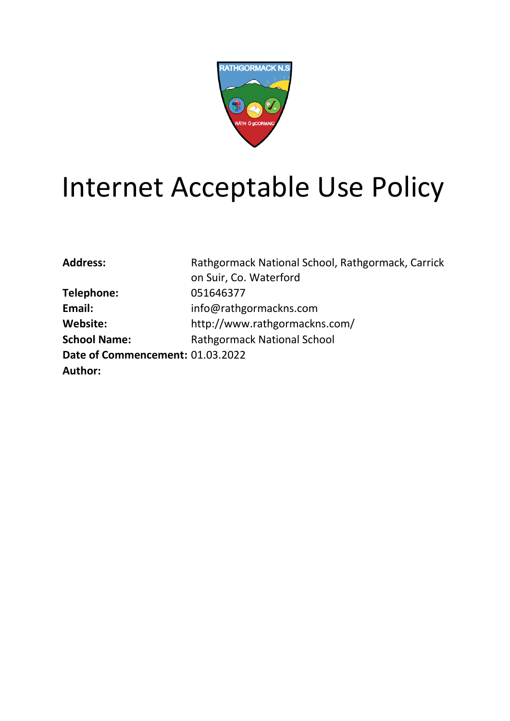

# Internet Acceptable Use Policy

| Rathgormack National School, Rathgormack, Carrick |
|---------------------------------------------------|
| on Suir, Co. Waterford                            |
| 051646377                                         |
| info@rathgormackns.com                            |
| http://www.rathgormackns.com/                     |
| <b>Rathgormack National School</b>                |
| Date of Commencement: 01.03.2022                  |
|                                                   |
|                                                   |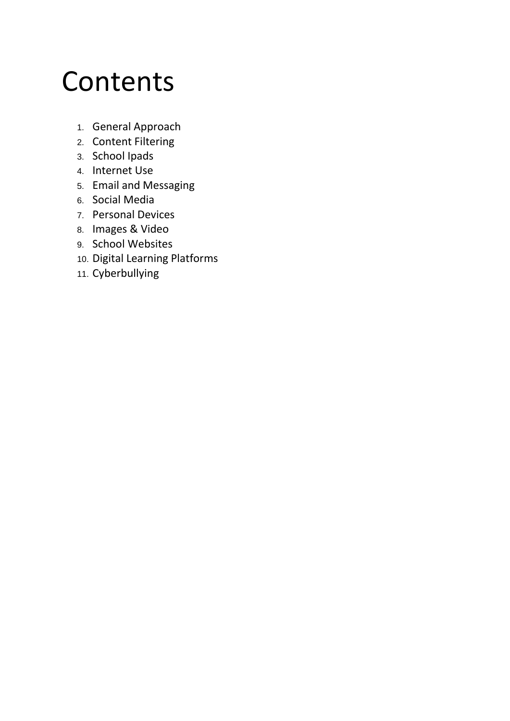# **Contents**

- 1. General Approach
- 2. Content Filtering
- 3. School Ipads
- 4. Internet Use
- 5. Email and Messaging
- 6. Social Media
- 7. Personal Devices
- 8. Images & Video
- 9. School Websites
- 10. Digital Learning Platforms
- 11. Cyberbullying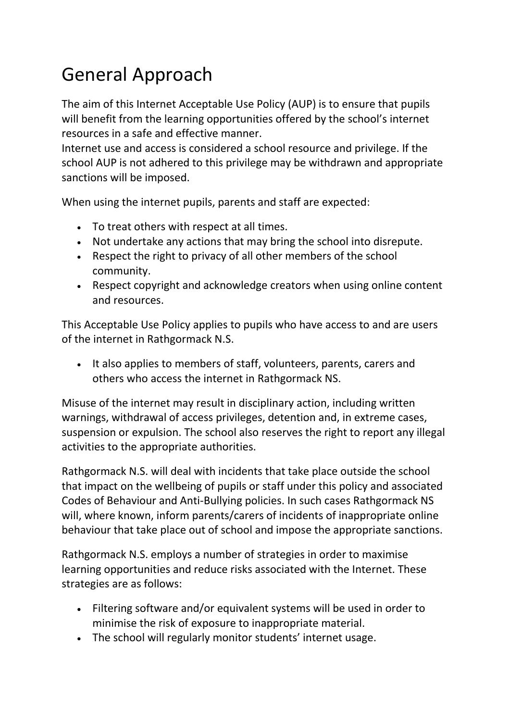# General Approach

The aim of this Internet Acceptable Use Policy (AUP) is to ensure that pupils will benefit from the learning opportunities offered by the school's internet resources in a safe and effective manner.

Internet use and access is considered a school resource and privilege. If the school AUP is not adhered to this privilege may be withdrawn and appropriate sanctions will be imposed.

When using the internet pupils, parents and staff are expected:

- To treat others with respect at all times.
- Not undertake any actions that may bring the school into disrepute.
- Respect the right to privacy of all other members of the school community.
- Respect copyright and acknowledge creators when using online content and resources.

This Acceptable Use Policy applies to pupils who have access to and are users of the internet in Rathgormack N.S.

It also applies to members of staff, volunteers, parents, carers and others who access the internet in Rathgormack NS.

Misuse of the internet may result in disciplinary action, including written warnings, withdrawal of access privileges, detention and, in extreme cases, suspension or expulsion. The school also reserves the right to report any illegal activities to the appropriate authorities.

Rathgormack N.S. will deal with incidents that take place outside the school that impact on the wellbeing of pupils or staff under this policy and associated Codes of Behaviour and Anti-Bullying policies. In such cases Rathgormack NS will, where known, inform parents/carers of incidents of inappropriate online behaviour that take place out of school and impose the appropriate sanctions.

Rathgormack N.S. employs a number of strategies in order to maximise learning opportunities and reduce risks associated with the Internet. These strategies are as follows:

- Filtering software and/or equivalent systems will be used in order to minimise the risk of exposure to inappropriate material.
- The school will regularly monitor students' internet usage.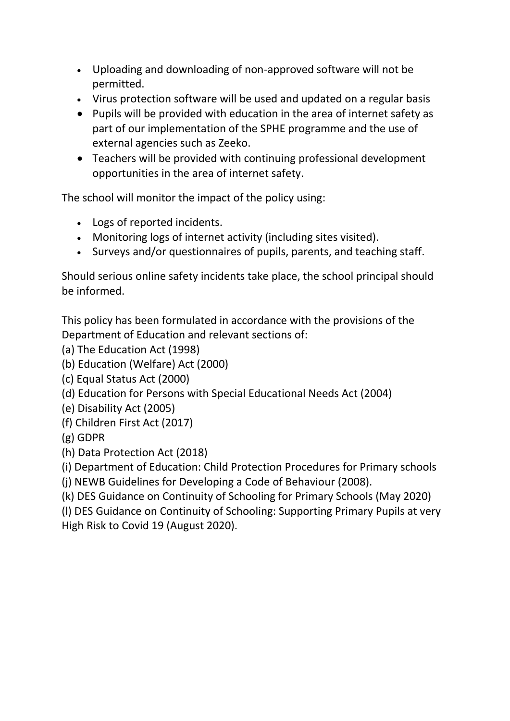- Uploading and downloading of non-approved software will not be permitted.
- Virus protection software will be used and updated on a regular basis
- Pupils will be provided with education in the area of internet safety as part of our implementation of the SPHE programme and the use of external agencies such as Zeeko.
- Teachers will be provided with continuing professional development opportunities in the area of internet safety.

The school will monitor the impact of the policy using:

- Logs of reported incidents.
- Monitoring logs of internet activity (including sites visited).
- Surveys and/or questionnaires of pupils, parents, and teaching staff.

Should serious online safety incidents take place, the school principal should be informed.

This policy has been formulated in accordance with the provisions of the Department of Education and relevant sections of:

- (a) The Education Act (1998)
- (b) Education (Welfare) Act (2000)
- (c) Equal Status Act (2000)
- (d) Education for Persons with Special Educational Needs Act (2004)
- (e) Disability Act (2005)
- (f) Children First Act (2017)
- (g) GDPR
- (h) Data Protection Act (2018)

(i) Department of Education: Child Protection Procedures for Primary schools

(j) NEWB Guidelines for Developing a Code of Behaviour (2008).

(k) DES Guidance on Continuity of Schooling for Primary Schools (May 2020)

(l) DES Guidance on Continuity of Schooling: Supporting Primary Pupils at very High Risk to Covid 19 (August 2020).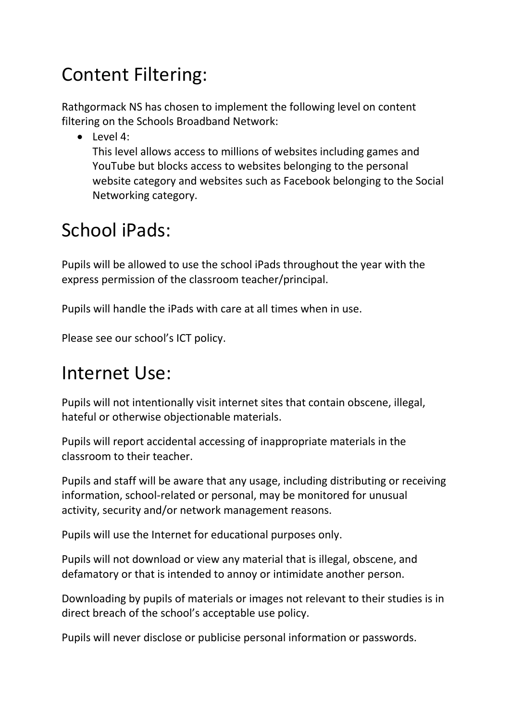#### Content Filtering:

Rathgormack NS has chosen to implement the following level on content filtering on the Schools Broadband Network:

 $\bullet$  Level 4:

This level allows access to millions of websites including games and YouTube but blocks access to websites belonging to the personal website category and websites such as Facebook belonging to the Social Networking category.

# School iPads:

Pupils will be allowed to use the school iPads throughout the year with the express permission of the classroom teacher/principal.

Pupils will handle the iPads with care at all times when in use.

Please see our school's ICT policy.

#### Internet Use:

Pupils will not intentionally visit internet sites that contain obscene, illegal, hateful or otherwise objectionable materials.

Pupils will report accidental accessing of inappropriate materials in the classroom to their teacher.

Pupils and staff will be aware that any usage, including distributing or receiving information, school-related or personal, may be monitored for unusual activity, security and/or network management reasons.

Pupils will use the Internet for educational purposes only.

Pupils will not download or view any material that is illegal, obscene, and defamatory or that is intended to annoy or intimidate another person.

Downloading by pupils of materials or images not relevant to their studies is in direct breach of the school's acceptable use policy.

Pupils will never disclose or publicise personal information or passwords.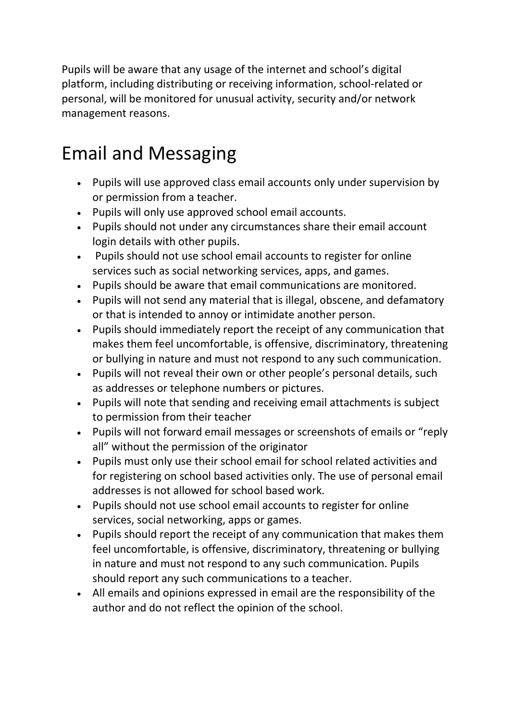Pupils will be aware that any usage of the internet and school's digital platform, including distributing or receiving information, school-related or personal, will be monitored for unusual activity, security and/or network management reasons.

### Email and Messaging

- Pupils will use approved class email accounts only under supervision by or permission from a teacher.
- Pupils will only use approved school email accounts.
- Pupils should not under any circumstances share their email account login details with other pupils.
- Pupils should not use school email accounts to register for online services such as social networking services, apps, and games.
- Pupils should be aware that email communications are monitored.
- Pupils will not send any material that is illegal, obscene, and defamatory or that is intended to annoy or intimidate another person.
- Pupils should immediately report the receipt of any communication that makes them feel uncomfortable, is offensive, discriminatory, threatening or bullying in nature and must not respond to any such communication.
- Pupils will not reveal their own or other people's personal details, such as addresses or telephone numbers or pictures.
- Pupils will note that sending and receiving email attachments is subject to permission from their teacher
- Pupils will not forward email messages or screenshots of emails or "reply all" without the permission of the originator
- Pupils must only use their school email for school related activities and for registering on school based activities only. The use of personal email addresses is not allowed for school based work.
- Pupils should not use school email accounts to register for online services, social networking, apps or games.
- Pupils should report the receipt of any communication that makes them feel uncomfortable, is offensive, discriminatory, threatening or bullying in nature and must not respond to any such communication. Pupils should report any such communications to a teacher.
- All emails and opinions expressed in email are the responsibility of the author and do not reflect the opinion of the school.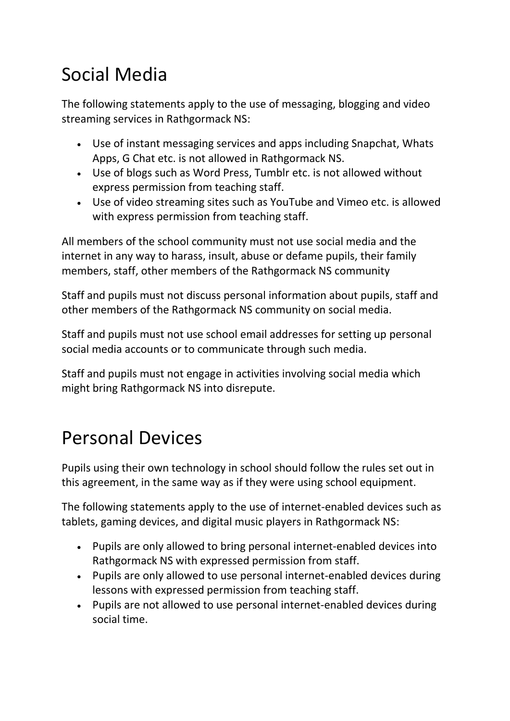# Social Media

The following statements apply to the use of messaging, blogging and video streaming services in Rathgormack NS:

- Use of instant messaging services and apps including Snapchat, Whats Apps, G Chat etc. is not allowed in Rathgormack NS.
- Use of blogs such as Word Press, Tumblr etc. is not allowed without express permission from teaching staff.
- Use of video streaming sites such as YouTube and Vimeo etc. is allowed with express permission from teaching staff.

All members of the school community must not use social media and the internet in any way to harass, insult, abuse or defame pupils, their family members, staff, other members of the Rathgormack NS community

Staff and pupils must not discuss personal information about pupils, staff and other members of the Rathgormack NS community on social media.

Staff and pupils must not use school email addresses for setting up personal social media accounts or to communicate through such media.

Staff and pupils must not engage in activities involving social media which might bring Rathgormack NS into disrepute.

### Personal Devices

Pupils using their own technology in school should follow the rules set out in this agreement, in the same way as if they were using school equipment.

The following statements apply to the use of internet-enabled devices such as tablets, gaming devices, and digital music players in Rathgormack NS:

- Pupils are only allowed to bring personal internet-enabled devices into Rathgormack NS with expressed permission from staff.
- Pupils are only allowed to use personal internet-enabled devices during lessons with expressed permission from teaching staff.
- Pupils are not allowed to use personal internet-enabled devices during social time.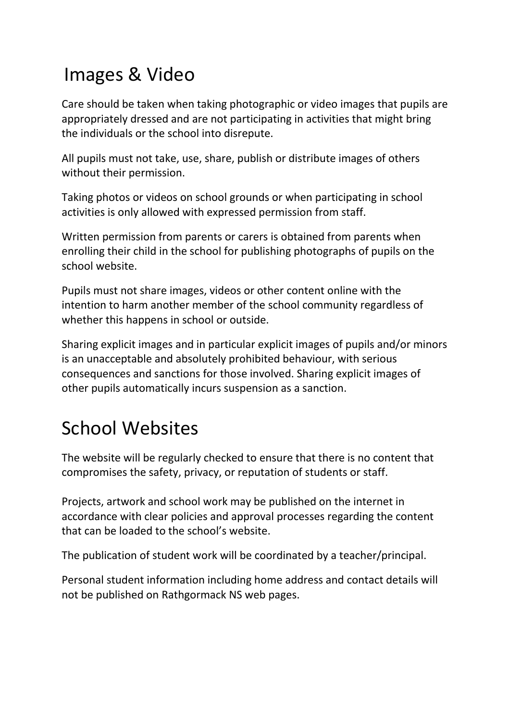### Images & Video

Care should be taken when taking photographic or video images that pupils are appropriately dressed and are not participating in activities that might bring the individuals or the school into disrepute.

All pupils must not take, use, share, publish or distribute images of others without their permission.

Taking photos or videos on school grounds or when participating in school activities is only allowed with expressed permission from staff.

Written permission from parents or carers is obtained from parents when enrolling their child in the school for publishing photographs of pupils on the school website.

Pupils must not share images, videos or other content online with the intention to harm another member of the school community regardless of whether this happens in school or outside.

Sharing explicit images and in particular explicit images of pupils and/or minors is an unacceptable and absolutely prohibited behaviour, with serious consequences and sanctions for those involved. Sharing explicit images of other pupils automatically incurs suspension as a sanction.

# School Websites

The website will be regularly checked to ensure that there is no content that compromises the safety, privacy, or reputation of students or staff.

Projects, artwork and school work may be published on the internet in accordance with clear policies and approval processes regarding the content that can be loaded to the school's website.

The publication of student work will be coordinated by a teacher/principal.

Personal student information including home address and contact details will not be published on Rathgormack NS web pages.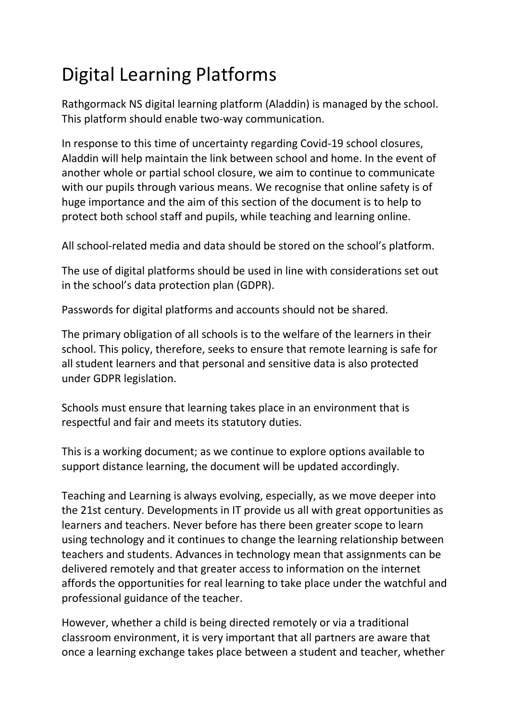# Digital Learning Platforms

Rathgormack NS digital learning platform (Aladdin) is managed by the school. This platform should enable two-way communication.

In response to this time of uncertainty regarding Covid-19 school closures, Aladdin will help maintain the link between school and home. In the event of another whole or partial school closure, we aim to continue to communicate with our pupils through various means. We recognise that online safety is of huge importance and the aim of this section of the document is to help to protect both school staff and pupils, while teaching and learning online.

All school-related media and data should be stored on the school's platform.

The use of digital platforms should be used in line with considerations set out in the school's data protection plan (GDPR).

Passwords for digital platforms and accounts should not be shared.

The primary obligation of all schools is to the welfare of the learners in their school. This policy, therefore, seeks to ensure that remote learning is safe for all student learners and that personal and sensitive data is also protected under GDPR legislation.

Schools must ensure that learning takes place in an environment that is respectful and fair and meets its statutory duties.

This is a working document; as we continue to explore options available to support distance learning, the document will be updated accordingly.

Teaching and Learning is always evolving, especially, as we move deeper into the 21st century. Developments in IT provide us all with great opportunities as learners and teachers. Never before has there been greater scope to learn using technology and it continues to change the learning relationship between teachers and students. Advances in technology mean that assignments can be delivered remotely and that greater access to information on the internet affords the opportunities for real learning to take place under the watchful and professional guidance of the teacher.

However, whether a child is being directed remotely or via a traditional classroom environment, it is very important that all partners are aware that once a learning exchange takes place between a student and teacher, whether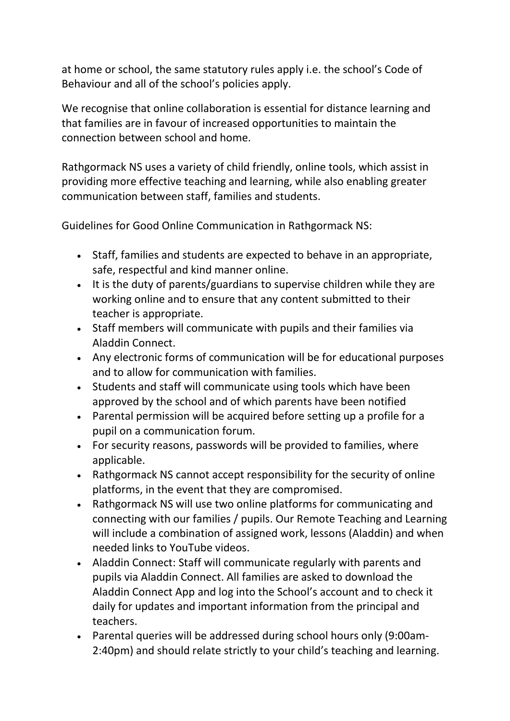at home or school, the same statutory rules apply i.e. the school's Code of Behaviour and all of the school's policies apply.

We recognise that online collaboration is essential for distance learning and that families are in favour of increased opportunities to maintain the connection between school and home.

Rathgormack NS uses a variety of child friendly, online tools, which assist in providing more effective teaching and learning, while also enabling greater communication between staff, families and students.

Guidelines for Good Online Communication in Rathgormack NS:

- Staff, families and students are expected to behave in an appropriate, safe, respectful and kind manner online.
- It is the duty of parents/guardians to supervise children while they are working online and to ensure that any content submitted to their teacher is appropriate.
- Staff members will communicate with pupils and their families via Aladdin Connect.
- Any electronic forms of communication will be for educational purposes and to allow for communication with families.
- Students and staff will communicate using tools which have been approved by the school and of which parents have been notified
- Parental permission will be acquired before setting up a profile for a pupil on a communication forum.
- For security reasons, passwords will be provided to families, where applicable.
- Rathgormack NS cannot accept responsibility for the security of online platforms, in the event that they are compromised.
- Rathgormack NS will use two online platforms for communicating and connecting with our families / pupils. Our Remote Teaching and Learning will include a combination of assigned work, lessons (Aladdin) and when needed links to YouTube videos.
- Aladdin Connect: Staff will communicate regularly with parents and pupils via Aladdin Connect. All families are asked to download the Aladdin Connect App and log into the School's account and to check it daily for updates and important information from the principal and teachers.
- Parental queries will be addressed during school hours only (9:00am-2:40pm) and should relate strictly to your child's teaching and learning.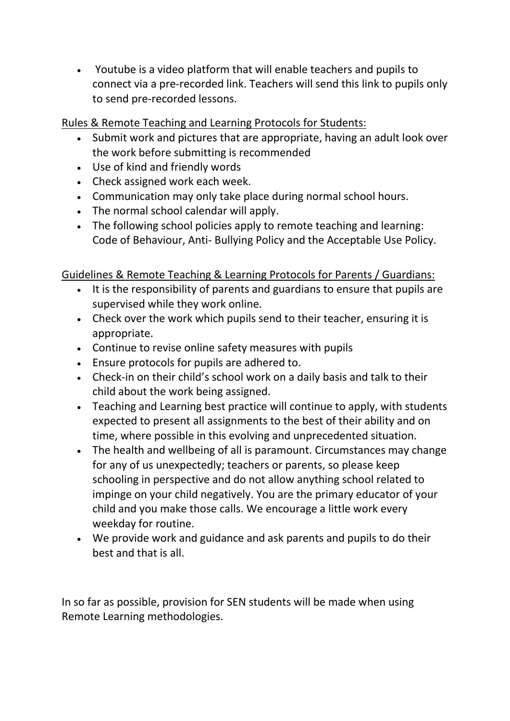Youtube is a video platform that will enable teachers and pupils to connect via a pre-recorded link. Teachers will send this link to pupils only to send pre-recorded lessons.

Rules & Remote Teaching and Learning Protocols for Students:

- Submit work and pictures that are appropriate, having an adult look over the work before submitting is recommended
- Use of kind and friendly words
- Check assigned work each week.
- Communication may only take place during normal school hours.
- The normal school calendar will apply.
- The following school policies apply to remote teaching and learning: Code of Behaviour, Anti- Bullying Policy and the Acceptable Use Policy.

#### Guidelines & Remote Teaching & Learning Protocols for Parents / Guardians:

- It is the responsibility of parents and guardians to ensure that pupils are supervised while they work online.
- Check over the work which pupils send to their teacher, ensuring it is appropriate.
- Continue to revise online safety measures with pupils
- Ensure protocols for pupils are adhered to.
- Check-in on their child's school work on a daily basis and talk to their child about the work being assigned.
- Teaching and Learning best practice will continue to apply, with students expected to present all assignments to the best of their ability and on time, where possible in this evolving and unprecedented situation.
- The health and wellbeing of all is paramount. Circumstances may change for any of us unexpectedly; teachers or parents, so please keep schooling in perspective and do not allow anything school related to impinge on your child negatively. You are the primary educator of your child and you make those calls. We encourage a little work every weekday for routine.
- We provide work and guidance and ask parents and pupils to do their best and that is all.

In so far as possible, provision for SEN students will be made when using Remote Learning methodologies.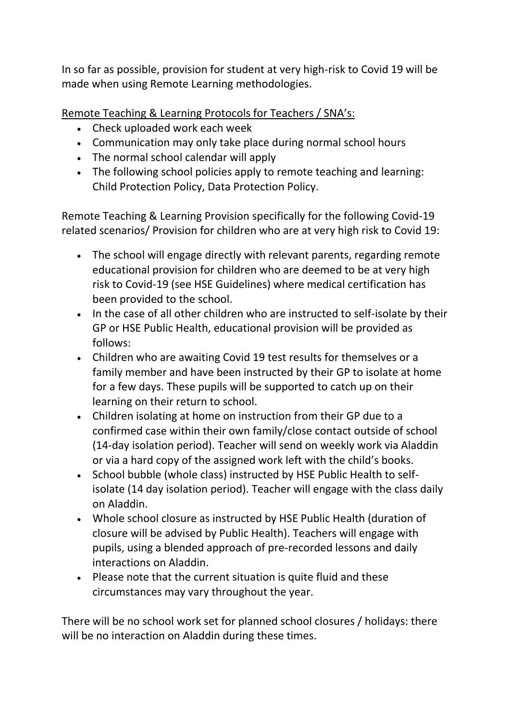In so far as possible, provision for student at very high-risk to Covid 19 will be made when using Remote Learning methodologies.

Remote Teaching & Learning Protocols for Teachers / SNA's:

- Check uploaded work each week
- Communication may only take place during normal school hours
- The normal school calendar will apply
- The following school policies apply to remote teaching and learning: Child Protection Policy, Data Protection Policy.

Remote Teaching & Learning Provision specifically for the following Covid-19 related scenarios/ Provision for children who are at very high risk to Covid 19:

- The school will engage directly with relevant parents, regarding remote educational provision for children who are deemed to be at very high risk to Covid-19 (see HSE Guidelines) where medical certification has been provided to the school.
- In the case of all other children who are instructed to self-isolate by their GP or HSE Public Health, educational provision will be provided as follows:
- Children who are awaiting Covid 19 test results for themselves or a family member and have been instructed by their GP to isolate at home for a few days. These pupils will be supported to catch up on their learning on their return to school.
- Children isolating at home on instruction from their GP due to a confirmed case within their own family/close contact outside of school (14-day isolation period). Teacher will send on weekly work via Aladdin or via a hard copy of the assigned work left with the child's books.
- School bubble (whole class) instructed by HSE Public Health to selfisolate (14 day isolation period). Teacher will engage with the class daily on Aladdin.
- Whole school closure as instructed by HSE Public Health (duration of closure will be advised by Public Health). Teachers will engage with pupils, using a blended approach of pre-recorded lessons and daily interactions on Aladdin.
- Please note that the current situation is quite fluid and these circumstances may vary throughout the year.

There will be no school work set for planned school closures / holidays: there will be no interaction on Aladdin during these times.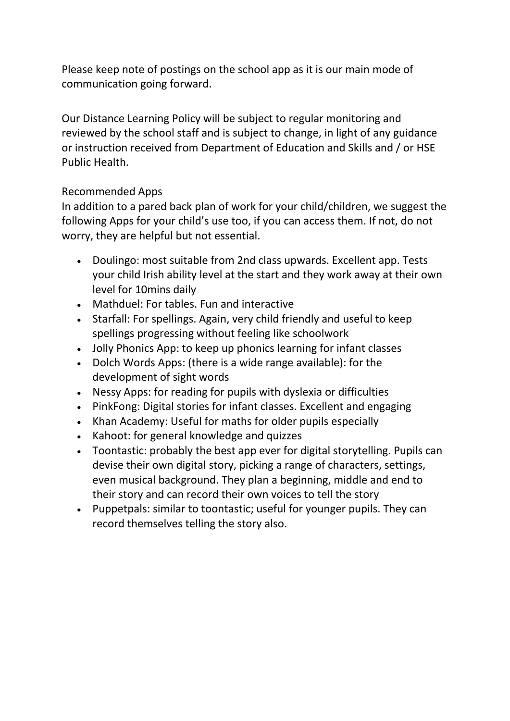Please keep note of postings on the school app as it is our main mode of communication going forward.

Our Distance Learning Policy will be subject to regular monitoring and reviewed by the school staff and is subject to change, in light of any guidance or instruction received from Department of Education and Skills and / or HSE Public Health.

#### Recommended Apps

In addition to a pared back plan of work for your child/children, we suggest the following Apps for your child's use too, if you can access them. If not, do not worry, they are helpful but not essential.

- Doulingo: most suitable from 2nd class upwards. Excellent app. Tests your child Irish ability level at the start and they work away at their own level for 10mins daily
- Mathduel: For tables. Fun and interactive
- Starfall: For spellings. Again, very child friendly and useful to keep spellings progressing without feeling like schoolwork
- Jolly Phonics App: to keep up phonics learning for infant classes
- Dolch Words Apps: (there is a wide range available): for the development of sight words
- Nessy Apps: for reading for pupils with dyslexia or difficulties
- PinkFong: Digital stories for infant classes. Excellent and engaging
- Khan Academy: Useful for maths for older pupils especially
- Kahoot: for general knowledge and quizzes
- Toontastic: probably the best app ever for digital storytelling. Pupils can devise their own digital story, picking a range of characters, settings, even musical background. They plan a beginning, middle and end to their story and can record their own voices to tell the story
- Puppetpals: similar to toontastic; useful for younger pupils. They can record themselves telling the story also.